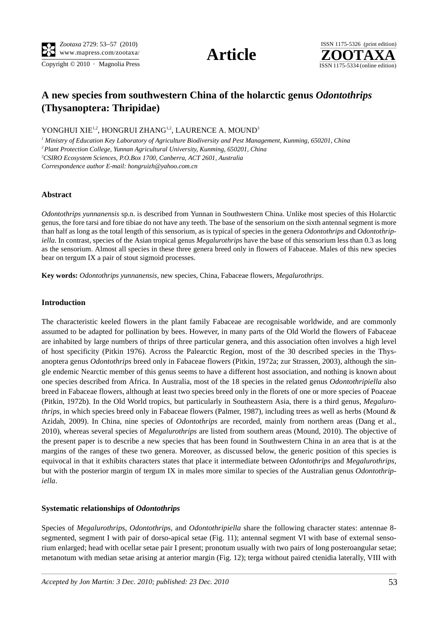Copyright  $\odot$  2010 · Magnolia Press ISSN 1175-5334 (online edition)





# **A new species from southwestern China of the holarctic genus** *Odontothrips* **(Thysanoptera: Thripidae)**

YONGHUI XIE<sup>1,2</sup>, HONGRUI ZHANG<sup>1,2</sup>, LAURENCE A. MOUND<sup>3</sup>

*1 Ministry of Education Key Laboratory of Agriculture Biodiversity and Pest Management, Kunming, 650201, China*

*2 Plant Protection College, Yunnan Agricultural University, Kunming, 650201, China*

*3 CSIRO Ecosystem Sciences, P.O.Box 1700, Canberra, ACT 2601, Australia*

*Correspondence author E-mail: hongruizh@yahoo.com.cn*

# **Abstract**

*Odontothrips yunnanensis* sp.n. is described from Yunnan in Southwestern China. Unlike most species of this Holarctic genus, the fore tarsi and fore tibiae do not have any teeth. The base of the sensorium on the sixth antennal segment is more than half as long as the total length of this sensorium, as is typical of species in the genera *Odontothrips* and *Odontothripiella*. In contrast, species of the Asian tropical genus *Megalurothrips* have the base of this sensorium less than 0.3 as long as the sensorium. Almost all species in these three genera breed only in flowers of Fabaceae. Males of this new species bear on tergum IX a pair of stout sigmoid processes.

**Key words:** *Odontothrips yunnanensis*, new species, China, Fabaceae flowers, *Megalurothrips*.

# **Introduction**

The characteristic keeled flowers in the plant family Fabaceae are recognisable worldwide, and are commonly assumed to be adapted for pollination by bees. However, in many parts of the Old World the flowers of Fabaceae are inhabited by large numbers of thrips of three particular genera, and this association often involves a high level of host specificity (Pitkin 1976). Across the Palearctic Region, most of the 30 described species in the Thysanoptera genus *Odontothrips* breed only in Fabaceae flowers (Pitkin, 1972a; zur Strassen, 2003), although the single endemic Nearctic member of this genus seems to have a different host association, and nothing is known about one species described from Africa. In Australia, most of the 18 species in the related genus *Odontothripiella* also breed in Fabaceae flowers, although at least two species breed only in the florets of one or more species of Poaceae (Pitkin, 1972b). In the Old World tropics, but particularly in Southeastern Asia, there is a third genus, *Megalurothrips*, in which species breed only in Fabaceae flowers (Palmer, 1987), including trees as well as herbs (Mound & Azidah, 2009). In China, nine species of *Odontothrips* are recorded, mainly from northern areas (Dang et al., 2010), whereas several species of *Megalurothrips* are listed from southern areas (Mound, 2010). The objective of the present paper is to describe a new species that has been found in Southwestern China in an area that is at the margins of the ranges of these two genera. Moreover, as discussed below, the generic position of this species is equivocal in that it exhibits characters states that place it intermediate between *Odontothrips* and *Megalurothrips*, but with the posterior margin of tergum IX in males more similar to species of the Australian genus *Odontothripiella*.

# **Systematic relationships of** *Odontothrips*

Species of *Megalurothrips*, *Odontothrips*, and *Odontothripiella* share the following character states: antennae 8 segmented, segment I with pair of dorso-apical setae (Fig. 11); antennal segment VI with base of external sensorium enlarged; head with ocellar setae pair I present; pronotum usually with two pairs of long posteroangular setae; metanotum with median setae arising at anterior margin (Fig. 12); terga without paired ctenidia laterally, VIII with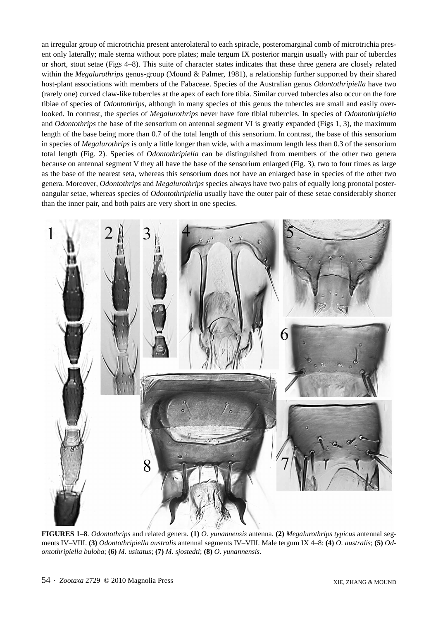an irregular group of microtrichia present anterolateral to each spiracle, posteromarginal comb of microtrichia present only laterally; male sterna without pore plates; male tergum IX posterior margin usually with pair of tubercles or short, stout setae (Figs 4–8). This suite of character states indicates that these three genera are closely related within the *Megalurothrips* genus-group (Mound & Palmer, 1981), a relationship further supported by their shared host-plant associations with members of the Fabaceae. Species of the Australian genus *Odontothripiella* have two (rarely one) curved claw-like tubercles at the apex of each fore tibia. Similar curved tubercles also occur on the fore tibiae of species of *Odontothrips*, although in many species of this genus the tubercles are small and easily overlooked. In contrast, the species of *Megalurothrips* never have fore tibial tubercles. In species of *Odontothripiella* and *Odontothrips* the base of the sensorium on antennal segment VI is greatly expanded (Figs 1, 3), the maximum length of the base being more than 0.7 of the total length of this sensorium. In contrast, the base of this sensorium in species of *Megalurothrips* is only a little longer than wide, with a maximum length less than 0.3 of the sensorium total length (Fig. 2). Species of *Odontothripiella* can be distinguished from members of the other two genera because on antennal segment V they all have the base of the sensorium enlarged (Fig. 3), two to four times as large as the base of the nearest seta, whereas this sensorium does not have an enlarged base in species of the other two genera. Moreover, *Odontothrips* and *Megalurothrips* species always have two pairs of equally long pronotal posteroangular setae, whereas species of *Odontothripiella* usually have the outer pair of these setae considerably shorter than the inner pair, and both pairs are very short in one species.



**FIGURES 1–8**. *Odontothrips* and related genera. **(1)** *O. yunannensis* antenna. **(2)** *Megalurothrips typicus* antennal segments IV–VIII. **(3)** *Odontothripiella australis* antennal segments IV–VIII. Male tergum IX 4–8: **(4)** *O. australis*; **(5)** *Odontothripiella buloba*; **(6)** *M. usitatus*; **(7)** *M. sjostedti*; **(8)** *O. yunannensis*.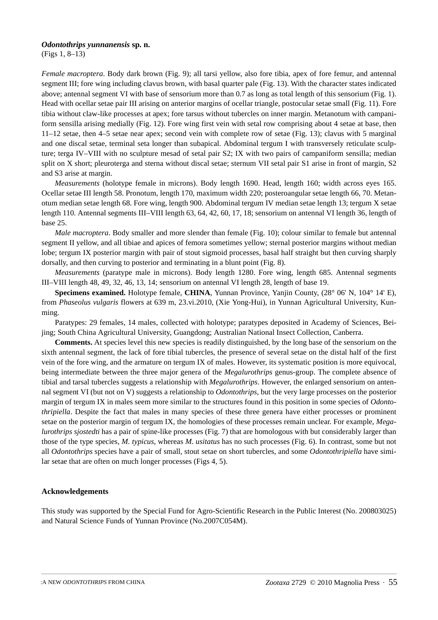#### *Odontothrips yunnanensis* **sp. n.**

(Figs 1, 8–13)

*Female macroptera*. Body dark brown (Fig. 9); all tarsi yellow, also fore tibia, apex of fore femur, and antennal segment III; fore wing including clavus brown, with basal quarter pale (Fig. 13). With the character states indicated above; antennal segment VI with base of sensorium more than 0.7 as long as total length of this sensorium (Fig. 1). Head with ocellar setae pair III arising on anterior margins of ocellar triangle, postocular setae small (Fig. 11). Fore tibia without claw-like processes at apex; fore tarsus without tubercles on inner margin. Metanotum with campaniform sensilla arising medially (Fig. 12). Fore wing first vein with setal row comprising about 4 setae at base, then 11–12 setae, then 4–5 setae near apex; second vein with complete row of setae (Fig. 13); clavus with 5 marginal and one discal setae, terminal seta longer than subapical. Abdominal tergum I with transversely reticulate sculpture; terga IV–VIII with no sculpture mesad of setal pair S2; IX with two pairs of campaniform sensilla; median split on X short; pleuroterga and sterna without discal setae; sternum VII setal pair S1 arise in front of margin, S2 and S3 arise at margin.

*Measurements* (holotype female in microns). Body length 1690. Head, length 160; width across eyes 165. Ocellar setae III length 58. Pronotum, length 170, maximum width 220; posteroangular setae length 66, 70. Metanotum median setae length 68. Fore wing, length 900. Abdominal tergum IV median setae length 13; tergum X setae length 110. Antennal segments III–VIII length 63, 64, 42, 60, 17, 18; sensorium on antennal VI length 36, length of base 25.

*Male macroptera*. Body smaller and more slender than female (Fig. 10); colour similar to female but antennal segment II yellow, and all tibiae and apices of femora sometimes yellow; sternal posterior margins without median lobe; tergum IX posterior margin with pair of stout sigmoid processes, basal half straight but then curving sharply dorsally, and then curving to posterior and terminating in a blunt point (Fig. 8).

*Measurements* (paratype male in microns). Body length 1280. Fore wing, length 685. Antennal segments III–VIII length 48, 49, 32, 46, 13, 14; sensorium on antennal VI length 28, length of base 19.

**Specimens examined.** Holotype female, **CHINA**, Yunnan Province, Yanjin County, (28° 06' N, 104° 14' E), from *Phaseolus vulgaris* flowers at 639 m, 23.vi.2010, (Xie Yong-Hui), in Yunnan Agricultural University, Kunming.

Paratypes: 29 females, 14 males, collected with holotype; paratypes deposited in Academy of Sciences, Beijing; South China Agricultural University, Guangdong; Australian National Insect Collection, Canberra.

**Comments.** At species level this new species is readily distinguished, by the long base of the sensorium on the sixth antennal segment, the lack of fore tibial tubercles, the presence of several setae on the distal half of the first vein of the fore wing, and the armature on tergum IX of males. However, its systematic position is more equivocal, being intermediate between the three major genera of the *Megalurothrips* genus-group. The complete absence of tibial and tarsal tubercles suggests a relationship with *Megalurothrips*. However, the enlarged sensorium on antennal segment VI (but not on V) suggests a relationship to *Odontothrips*, but the very large processes on the posterior margin of tergum IX in males seem more similar to the structures found in this position in some species of *Odontothripiella*. Despite the fact that males in many species of these three genera have either processes or prominent setae on the posterior margin of tergum IX, the homologies of these processes remain unclear. For example, *Megalurothrips sjostedti* has a pair of spine-like processes (Fig. 7) that are homologous with but considerably larger than those of the type species, *M. typicus*, whereas *M. usitatus* has no such processes (Fig. 6). In contrast, some but not all *Odontothrips* species have a pair of small, stout setae on short tubercles, and some *Odontothripiella* have similar setae that are often on much longer processes (Figs 4, 5).

# **Acknowledgements**

This study was supported by the Special Fund for Agro-Scientific Research in the Public Interest (No. 200803025) and Natural Science Funds of Yunnan Province (No.2007C054M).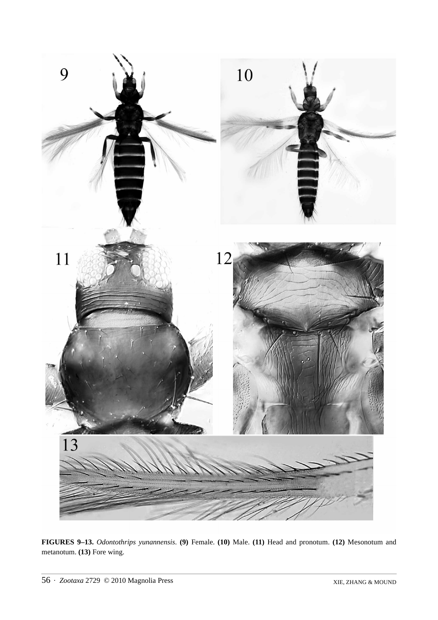

**FIGURES 9–13.** *Odontothrips yunannensis*. **(9)** Female. **(10)** Male. **(11)** Head and pronotum. **(12)** Mesonotum and metanotum. **(13)** Fore wing.